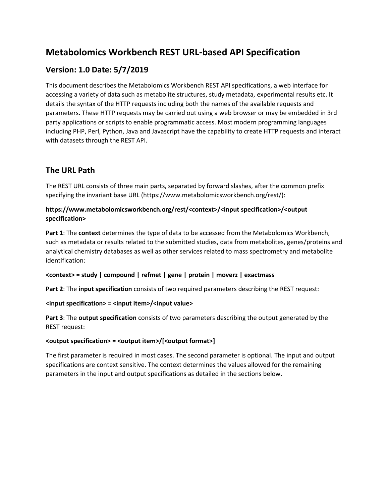# **Metabolomics Workbench REST URL-based API Specification**

## **Version: 1.0 Date: 5/7/2019**

This document describes the Metabolomics Workbench REST API specifications, a web interface for accessing a variety of data such as metabolite structures, study metadata, experimental results etc. It details the syntax of the HTTP requests including both the names of the available requests and parameters. These HTTP requests may be carried out using a web browser or may be embedded in 3rd party applications or scripts to enable programmatic access. Most modern programming languages including PHP, Perl, Python, Java and Javascript have the capability to create HTTP requests and interact with datasets through the REST API.

# **The URL Path**

The REST URL consists of three main parts, separated by forward slashes, after the common prefix specifying the invariant base URL (https://www.metabolomicsworkbench.org/rest/):

## **https://www.metabolomicsworkbench.org/rest/<context>/<input specification>/<output specification>**

**Part 1**: The **context** determines the type of data to be accessed from the Metabolomics Workbench, such as metadata or results related to the submitted studies, data from metabolites, genes/proteins and analytical chemistry databases as well as other services related to mass spectrometry and metabolite identification:

## **<context> = study | compound | refmet | gene | protein | moverz | exactmass**

**Part 2**: The **input specification** consists of two required parameters describing the REST request:

## **<input specification> = <input item>/<input value>**

**Part 3**: The **output specification** consists of two parameters describing the output generated by the REST request:

## **<output specification> = <output item>/[<output format>]**

The first parameter is required in most cases. The second parameter is optional. The input and output specifications are context sensitive. The context determines the values allowed for the remaining parameters in the input and output specifications as detailed in the sections below.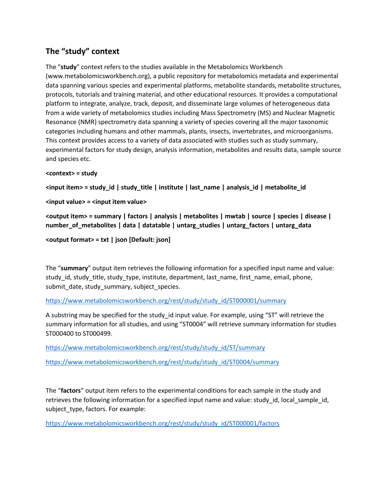## **The "study" context**

The "**study**" context refers to the studies available in the Metabolomics Workbench (www.metabolomicsworkbench.org), a public repository for metabolomics metadata and experimental data spanning various species and experimental platforms, metabolite standards, metabolite structures, protocols, tutorials and training material, and other educational resources. It provides a computational platform to integrate, analyze, track, deposit, and disseminate large volumes of heterogeneous data from a wide variety of metabolomics studies including Mass Spectrometry (MS) and Nuclear Magnetic Resonance (NMR) spectrometry data spanning a variety of species covering all the major taxonomic categories including humans and other mammals, plants, insects, invertebrates, and microorganisms. This context provides access to a variety of data associated with studies such as study summary, experimental factors for study design, analysis information, metabolites and results data, sample source and species etc.

## **<context> = study**

**<input item> = study\_id | study\_title | institute | last\_name | analysis\_id | metabolite\_id**

**<input value> = <input item value>**

**<output item> = summary | factors | analysis | metabolites | mwtab | source | species | disease | number\_of\_metabolites | data | datatable | untarg\_studies | untarg\_factors | untarg\_data**

**<output format> = txt | json [Default: json]**

The "**summary**" output item retrieves the following information for a specified input name and value: study\_id, study\_title, study\_type, institute, department, last\_name, first\_name, email, phone, submit\_date, study\_summary, subject\_species.

[https://www.metabolomicsworkbench.org/rest/study/study\\_id/ST000001/summary](https://www.metabolomicsworkbench.org/rest/study/study_id/ST000001/summary)

A substring may be specified for the study id input value. For example, using "ST" will retrieve the summary information for all studies, and using "ST0004" will retrieve summary information for studies ST000400 to ST000499.

[https://www.metabolomicsworkbench.org/rest/study/study\\_id/ST/summary](https://www.metabolomicsworkbench.org/rest/study/study_id/ST000001/summary)

[https://www.metabolomicsworkbench.org/rest/study/study\\_id/ST0004/summary](https://www.metabolomicsworkbench.org/rest/study/study_id/ST0004/summary)

The "**factors**" output item refers to the experimental conditions for each sample in the study and retrieves the following information for a specified input name and value: study id, local sample id, subject type, factors. For example:

[https://www.metabolomicsworkbench.org/rest/study/study\\_id/ST000001/factors](https://www.metabolomicsworkbench.org/rest/study/study_id/ST000001/factors)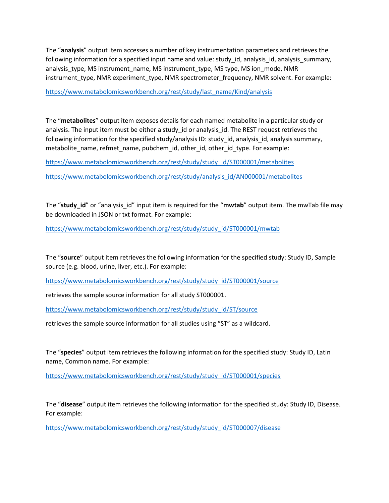The "**analysis**" output item accesses a number of key instrumentation parameters and retrieves the following information for a specified input name and value: study\_id, analysis\_id, analysis\_summary, analysis\_type, MS instrument\_name, MS instrument\_type, MS type, MS ion\_mode, NMR instrument\_type, NMR experiment\_type, NMR spectrometer\_frequency, NMR solvent. For example:

#### [https://www.metabolomicsworkbench.org/rest/study/last\\_name/Kind/analysis](https://www.metabolomicsworkbench.org/rest/study/last_name/Kind/analysis)

The "**metabolites**" output item exposes details for each named metabolite in a particular study or analysis. The input item must be either a study\_id or analysis\_id. The REST request retrieves the following information for the specified study/analysis ID: study\_id, analysis\_id, analysis summary, metabolite\_name, refmet\_name, pubchem\_id, other\_id, other\_id\_type. For example:

[https://www.metabolomicsworkbench.org/rest/study/study\\_id/ST000001/metabolites](https://www.metabolomicsworkbench.org/rest/study/study_id/ST000001/metabolites)

[https://www.metabolomicsworkbench.org/rest/study/analysis\\_id/AN000001/metabolites](https://www.metabolomicsworkbench.org/rest/study/analysis_id/AN000001/metabolites)

The "**study\_id**" or "analysis\_id" input item is required for the "**mwtab**" output item. The mwTab file may be downloaded in JSON or txt format. For example:

[https://www.metabolomicsworkbench.org/rest/study/study\\_id/ST000001/mwtab](https://www.metabolomicsworkbench.org/rest/study/study_id/ST000001/mwtab)

The "**source**" output item retrieves the following information for the specified study: Study ID, Sample source (e.g. blood, urine, liver, etc.). For example:

[https://www.metabolomicsworkbench.org/rest/study/study\\_id/ST000001/source](https://www.metabolomicsworkbench.org/rest/study/study_id/ST000001/source)

retrieves the sample source information for all study ST000001.

[https://www.metabolomicsworkbench.org/rest/study/study\\_id/ST/source](https://www.metabolomicsworkbench.org/rest/study/study_id/ST000001/source)

retrieves the sample source information for all studies using "ST" as a wildcard.

The "**species**" output item retrieves the following information for the specified study: Study ID, Latin name, Common name. For example:

[https://www.metabolomicsworkbench.org/rest/study/study\\_id/ST000001/species](https://www.metabolomicsworkbench.org/rest/study/study_id/ST000001/species)

The "**disease**" output item retrieves the following information for the specified study: Study ID, Disease. For example:

[https://www.metabolomicsworkbench.org/rest/study/study\\_id/ST000007/disease](https://www.metabolomicsworkbench.org/rest/study/study_id/ST000007/disease)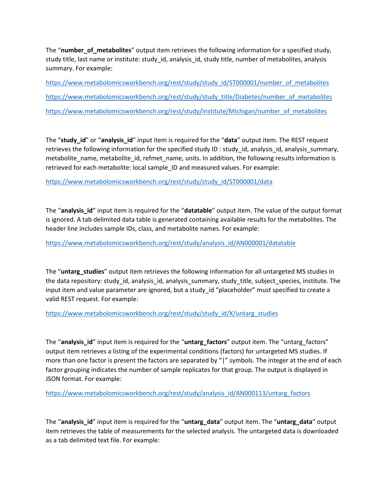The "number of metabolites" output item retrieves the following information for a specified study, study title, last name or institute: study id, analysis id, study title, number of metabolites, analysis summary. For example:

[https://www.metabolomicsworkbench.org/rest/study/study\\_id/ST000001/number\\_of\\_metabolites](https://www.metabolomicsworkbench.org/rest/study/study_id/ST000001/number_of_metabolites) [https://www.metabolomicsworkbench.org/rest/study/study\\_title/Diabetes/number\\_of\\_metabolites](https://www.metabolomicsworkbench.org/rest/study/study_title/Diabetes/number_of_metabolites)  [https://www.metabolomicsworkbench.org/rest/study/institute/Michigan/number\\_of\\_metabolites](https://www.metabolomicsworkbench.org/rest/study/institute/Michigan/number_of_metabolites) 

The "**study\_id**" or "**analysis\_id**" input item is required for the "**data**" output item. The REST request retrieves the following information for the specified study ID : study\_id, analysis\_id, analysis\_summary, metabolite\_name, metabolite\_id, refmet\_name, units. In addition, the following results information is retrieved for each metabolite: local sample\_ID and measured values. For example:

[https://www.metabolomicsworkbench.org/rest/study/study\\_id/ST000001/data](https://www.metabolomicsworkbench.org/rest/study/study_id/ST000001/data)

The "**analysis\_id**" input item is required for the "**datatable**" output item. The value of the output format is ignored. A tab delimited data table is generated containing available results for the metabolites. The header line includes sample IDs, class, and metabolite names. For example:

[https://www.metabolomicsworkbench.org/rest/study/analysis\\_id/AN000001/datatable](https://www.metabolomicsworkbench.org/rest/study/analysis_id/AN000001/datatable)

The "**untarg\_studies**" output item retrieves the following information for all untargeted MS studies in the data repository: study id, analysis id, analysis summary, study title, subject species, institute. The input item and value parameter are ignored, but a study\_id "placeholder" must specified to create a valid REST request. For example:

[https://www.metabolomicsworkbench.org/rest/study/study\\_id/X/untarg\\_studies](https://www.metabolomicsworkbench.org/rest/study/study_id/X/untarg_studies)

The "**analysis\_id**" input item is required for the "**untarg\_factors**" output item. The "untarg\_factors" output item retrieves a listing of the experimental conditions (factors) for untargeted MS studies. If more than one factor is present the factors are separated by "|" symbols. The integer at the end of each factor grouping indicates the number of sample replicates for that group. The output is displayed in JSON format. For example:

[https://www.metabolomicsworkbench.org/rest/study/analysis\\_id/AN000113/untarg\\_factors](https://www.metabolomicsworkbench.org/rest/study/analysis_id/AN000113/untarg_factors)

The "**analysis\_id**" input item is required for the "**untarg\_data**" output item. The "**untarg\_data**" output item retrieves the table of measurements for the selected analysis. The untargeted data is downloaded as a tab delimited text file. For example: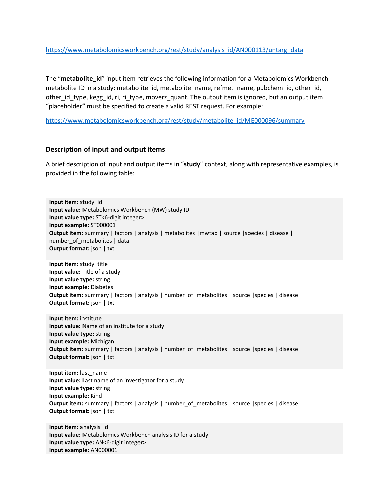[https://www.metabolomicsworkbench.org/rest/study/analysis\\_id/AN000113/untarg\\_data](https://www.metabolomicsworkbench.org/rest/study/analysis_id/AN000113/untarg_data)

The "**metabolite id**" input item retrieves the following information for a Metabolomics Workbench metabolite ID in a study: metabolite id, metabolite name, refmet name, pubchem id, other id, other\_id\_type, kegg\_id, ri, ri\_type, moverz\_quant. The output item is ignored, but an output item "placeholder" must be specified to create a valid REST request. For example:

[https://www.metabolomicsworkbench.org/rest/study/metabolite\\_id/ME000096/summary](https://www.metabolomicsworkbench.org/rest/study/metabolite_id/ME000096/summary)

## **Description of input and output items**

A brief description of input and output items in "**study**" context, along with representative examples, is provided in the following table:

**Input item:** study\_id **Input value:** Metabolomics Workbench (MW) study ID **Input value type:** ST<6-digit integer> **Input example:** ST000001 **Output item:** summary | factors | analysis | metabolites | mwtab | source | species | disease | number\_of\_metabolites | data **Output format:** json | txt **Input item:** study\_title **Input value:** Title of a study **Input value type:** string **Input example:** Diabetes **Output item:** summary | factors | analysis | number of metabolites | source | species | disease **Output format:** json | txt **Input item:** institute **Input value:** Name of an institute for a study **Input value type:** string **Input example:** Michigan **Output item:** summary | factors | analysis | number\_of\_metabolites | source | species | disease **Output format:** json | txt **Input item:** last\_name **Input value:** Last name of an investigator for a study **Input value type:** string **Input example:** Kind **Output item:** summary | factors | analysis | number\_of\_metabolites | source |species | disease **Output format:** json | txt **Input item:** analysis\_id

**Input value:** Metabolomics Workbench analysis ID for a study **Input value type:** AN<6-digit integer> **Input example:** AN000001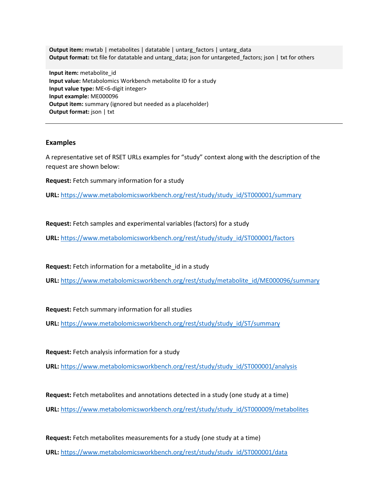**Output item:** mwtab | metabolites | datatable | untarg factors | untarg\_data **Output format:** txt file for datatable and untarg\_data; json for untargeted\_factors; json | txt for others

**Input item:** metabolite\_id **Input value:** Metabolomics Workbench metabolite ID for a study **Input value type:** ME<6-digit integer> **Input example:** ME000096 **Output item:** summary (ignored but needed as a placeholder) **Output format:** json | txt

#### **Examples**

A representative set of RSET URLs examples for "study" context along with the description of the request are shown below:

**Request:** Fetch summary information for a study

**URL:** [https://www.metabolomicsworkbench.org/rest/study/study\\_id/ST000001/summary](https://www.metabolomicsworkbench.org/rest/study/study_id/ST000001/summary)

**Request:** Fetch samples and experimental variables (factors) for a study

**URL:** [https://www.metabolomicsworkbench.org/rest/study/study\\_id/ST000001/factors](https://www.metabolomicsworkbench.org/rest/study/study_id/ST000001/factors)

**Request:** Fetch information for a metabolite id in a study

**URL:** [https://www.metabolomicsworkbench.org/rest/study/metabolite\\_id/ME000096/summary](https://www.metabolomicsworkbench.org/rest/study/metabolite_id/ME000096/summary)

**Request:** Fetch summary information for all studies

**URL:** [https://www.metabolomicsworkbench.org/rest/study/study\\_id/ST/summary](https://www.metabolomicsworkbench.org/rest/study/study_id/ST/summary)

**Request:** Fetch analysis information for a study

**URL:** [https://www.metabolomicsworkbench.org/rest/study/study\\_id/ST000001/analysis](https://www.metabolomicsworkbench.org/rest/study/study_id/ST000001/analysis)

**Request:** Fetch metabolites and annotations detected in a study (one study at a time) **URL:** [https://www.metabolomicsworkbench.org/rest/study/study\\_id/ST000009/metabolites](https://www.metabolomicsworkbench.org/rest/study/study_id/ST000009/metabolites)

**Request:** Fetch metabolites measurements for a study (one study at a time) **URL:** [https://www.metabolomicsworkbench.org/rest/study/study\\_id/ST000001/data](https://www.metabolomicsworkbench.org/rest/study/study_id/ST000001/data)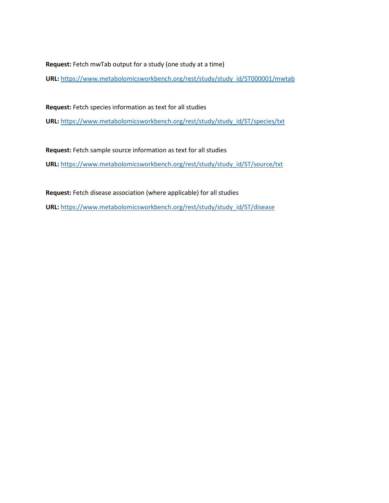**Request:** Fetch mwTab output for a study (one study at a time)

**URL:** [https://www.metabolomicsworkbench.org/rest/study/study\\_id/ST000001/mwtab](https://www.metabolomicsworkbench.org/rest/study/study_id/ST000001/mwtab)

**Request:** Fetch species information as text for all studies

**URL:** [https://www.metabolomicsworkbench.org/rest/study/study\\_id/ST/species/txt](https://www.metabolomicsworkbench.org/rest/study/study_id/ST/species/txt)

**Request:** Fetch sample source information as text for all studies

**URL:** [https://www.metabolomicsworkbench.org/rest/study/study\\_id/ST/source/txt](https://www.metabolomicsworkbench.org/rest/study/study_id/ST/source/txt)

**Request:** Fetch disease association (where applicable) for all studies

**URL:** [https://www.metabolomicsworkbench.org/rest/study/study\\_id/ST/disease](https://www.metabolomicsworkbench.org/rest/study/study_id/ST/disease)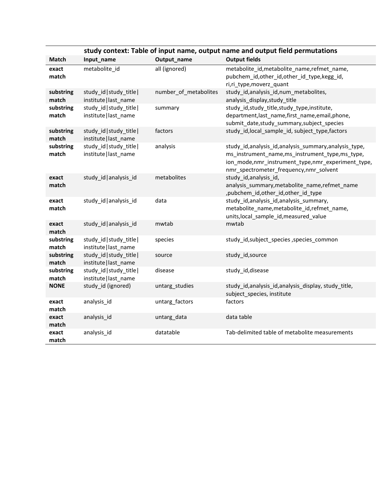|                    | study context: Table of input name, output name and output field permutations |                       |                                                                                                                                                                                                       |  |
|--------------------|-------------------------------------------------------------------------------|-----------------------|-------------------------------------------------------------------------------------------------------------------------------------------------------------------------------------------------------|--|
| Match              | Input_name                                                                    | Output_name           | <b>Output fields</b>                                                                                                                                                                                  |  |
| exact<br>match     | metabolite id                                                                 | all (ignored)         | metabolite_id,metabolite_name,refmet_name,<br>pubchem_id,other_id,other_id_type,kegg_id,<br>ri, ri_type, moverz_quant                                                                                 |  |
| substring<br>match | study_id study_title <br>institute   last_name                                | number_of_metabolites | study_id,analysis_id,num_metabolites,<br>analysis_display, study_title                                                                                                                                |  |
| substring<br>match | study_id study_title <br>institute   last_name                                | summary               | study_id,study_title,study_type,institute,<br>department, last_name, first_name, email, phone,<br>submit_date,study_summary,subject_species                                                           |  |
| substring<br>match | study_id study_title <br>institute   last_name                                | factors               | study_id,local_sample_id, subject_type,factors                                                                                                                                                        |  |
| substring<br>match | study_id study_title <br>institute   last name                                | analysis              | study_id,analysis_id,analysis_summary,analysis_type,<br>ms_instrument_name,ms_instrument_type,ms_type,<br>ion_mode,nmr_instrument_type,nmr_experiment_type,<br>nmr_spectrometer_frequency,nmr_solvent |  |
| exact<br>match     | study id analysis id                                                          | metabolites           | study id, analysis id,<br>analysis_summary,metabolite_name,refmet_name<br>,pubchem_id,other_id,other_id_type                                                                                          |  |
| exact<br>match     | study_id   analysis_id                                                        | data                  | study_id,analysis_id,analysis_summary,<br>metabolite_name,metabolite_id,refmet_name,<br>units, local_sample_id, measured_value                                                                        |  |
| exact<br>match     | study_id analysis_id                                                          | mwtab                 | mwtab                                                                                                                                                                                                 |  |
| substring<br>match | study_id study_title <br>institute   last name                                | species               | study_id,subject_species,species_common                                                                                                                                                               |  |
| substring<br>match | study_id study_title <br>institute   last_name                                | source                | study_id,source                                                                                                                                                                                       |  |
| substring<br>match | study_id study_title <br>institute   last_name                                | disease               | study id, disease                                                                                                                                                                                     |  |
| <b>NONE</b>        | study_id (ignored)                                                            | untarg_studies        | study_id, analysis_id, analysis_display, study_title,<br>subject_species, institute                                                                                                                   |  |
| exact<br>match     | analysis_id                                                                   | untarg_factors        | factors                                                                                                                                                                                               |  |
| exact<br>match     | analysis_id                                                                   | untarg_data           | data table                                                                                                                                                                                            |  |
| exact<br>match     | analysis_id                                                                   | datatable             | Tab-delimited table of metabolite measurements                                                                                                                                                        |  |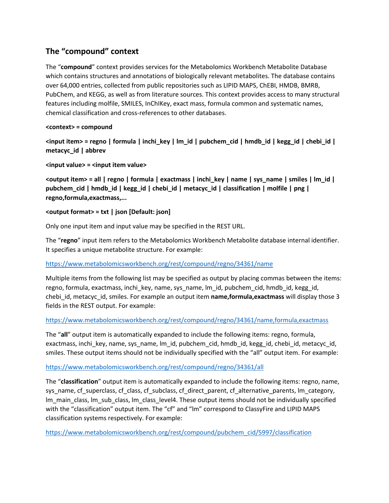## **The "compound" context**

The "**compound**" context provides services for the Metabolomics Workbench Metabolite Database which contains structures and annotations of biologically relevant metabolites. The database contains over 64,000 entries, collected from public repositories such as LIPID MAPS, ChEBI, HMDB, BMRB, PubChem, and KEGG, as well as from literature sources. This context provides access to many structural features including molfile, SMILES, InChIKey, exact mass, formula common and systematic names, chemical classification and cross-references to other databases.

## **<context> = compound**

**<input item> = regno | formula | inchi\_key | lm\_id | pubchem\_cid | hmdb\_id | kegg\_id | chebi\_id | metacyc\_id | abbrev**

**<input value> = <input item value>**

**<output item> = all | regno | formula | exactmass | inchi\_key | name | sys\_name | smiles | lm\_id | pubchem\_cid | hmdb\_id | kegg\_id | chebi\_id | metacyc\_id | classification | molfile | png | regno,formula,exactmass,...**

## **<output format> = txt | json [Default: json]**

Only one input item and input value may be specified in the REST URL.

The "**regno**" input item refers to the Metabolomics Workbench Metabolite database internal identifier. It specifies a unique metabolite structure. For example:

## <https://www.metabolomicsworkbench.org/rest/compound/regno/34361/name>

Multiple items from the following list may be specified as output by placing commas between the items: regno, formula, exactmass, inchi key, name, sys name, lm id, pubchem cid, hmdb id, kegg id, chebi\_id, metacyc\_id, smiles. For example an output item **name,formula,exactmass** will display those 3 fields in the REST output. For example:

## <https://www.metabolomicsworkbench.org/rest/compound/regno/34361/name,formula,exactmass>

The "**all**" output item is automatically expanded to include the following items: regno, formula, exactmass, inchi\_key, name, sys\_name, lm\_id, pubchem\_cid, hmdb\_id, kegg\_id, chebi\_id, metacyc\_id, smiles. These output items should not be individually specified with the "all" output item. For example:

## <https://www.metabolomicsworkbench.org/rest/compound/regno/34361/all>

The "**classification**" output item is automatically expanded to include the following items: regno, name, sys\_name, cf\_superclass, cf\_class, cf\_subclass, cf\_direct\_parent, cf\_alternative\_parents, lm\_category, lm\_main\_class, lm\_sub\_class, lm\_class\_level4. These output items should not be individually specified with the "classification" output item. The "cf" and "Im" correspond to ClassyFire and LIPID MAPS classification systems respectively. For example:

[https://www.metabolomicsworkbench.org/rest/compound/pubchem\\_cid/5997/classification](https://www.metabolomicsworkbench.org/rest/compound/pubchem_cid/5997/classification)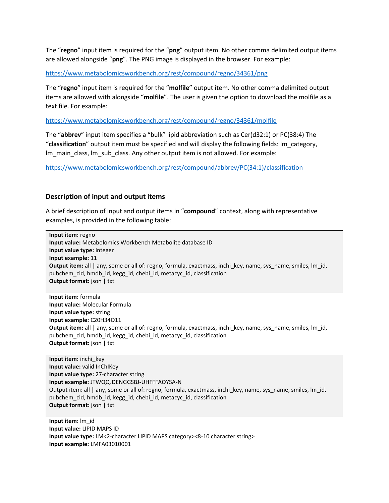The "**regno**" input item is required for the "**png**" output item. No other comma delimited output items are allowed alongside "**png**". The PNG image is displayed in the browser. For example:

<https://www.metabolomicsworkbench.org/rest/compound/regno/34361/png>

The "**regno**" input item is required for the "**molfile**" output item. No other comma delimited output items are allowed with alongside "**molfile**". The user is given the option to download the molfile as a text file. For example:

<https://www.metabolomicsworkbench.org/rest/compound/regno/34361/molfile>

The "**abbrev**" input item specifies a "bulk" lipid abbreviation such as Cer(d32:1) or PC(38:4) The "**classification**" output item must be specified and will display the following fields: lm\_category, lm\_main\_class, lm\_sub\_class. Any other output item is not allowed. For example:

[https://www.metabolomicsworkbench.org/rest/compound/abbrev/PC\(34:1\)/classification](https://www.metabolomicsworkbench.org/rest/compound/abbrev/PC(34:1)/classification)

#### **Description of input and output items**

A brief description of input and output items in "**compound**" context, along with representative examples, is provided in the following table:

**Input item:** regno **Input value:** Metabolomics Workbench Metabolite database ID **Input value type:** integer **Input example:** 11 **Output item:** all | any, some or all of: regno, formula, exactmass, inchi\_key, name, sys\_name, smiles, lm\_id, pubchem\_cid, hmdb\_id, kegg\_id, chebi\_id, metacyc\_id, classification **Output format:** json | txt **Input item:** formula

**Input value:** Molecular Formula **Input value type:** string **Input example:** C20H34O11 **Output item:** all | any, some or all of: regno, formula, exactmass, inchi key, name, sys name, smiles, lm id, pubchem\_cid, hmdb\_id, kegg\_id, chebi\_id, metacyc\_id, classification **Output format:** json | txt

**Input item:** inchi\_key **Input value:** valid InChIKey **Input value type:** 27-character string **Input example:** JTWQQJDENGGSBJ-UHFFFAOYSA-N Output item: all | any, some or all of: regno, formula, exactmass, inchi\_key, name, sys\_name, smiles, lm\_id, pubchem\_cid, hmdb\_id, kegg\_id, chebi\_id, metacyc\_id, classification **Output format:** json | txt

**Input item:** lm\_id **Input value:** LIPID MAPS ID **Input value type:** LM<2-character LIPID MAPS category><8-10 character string> **Input example:** LMFA03010001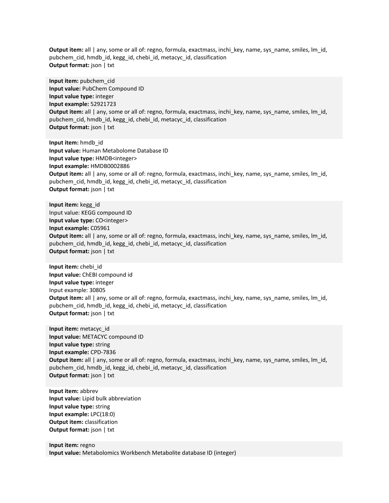**Output item:** all | any, some or all of: regno, formula, exactmass, inchi key, name, sys name, smiles, lm id, pubchem\_cid, hmdb\_id, kegg\_id, chebi\_id, metacyc\_id, classification **Output format:** json | txt

**Input item:** pubchem\_cid **Input value:** PubChem Compound ID **Input value type:** integer **Input example:** 52921723 **Output item:** all | any, some or all of: regno, formula, exactmass, inchi\_key, name, sys\_name, smiles, lm\_id, pubchem\_cid, hmdb\_id, kegg\_id, chebi\_id, metacyc\_id, classification **Output format:** json | txt

**Input item:** hmdb\_id **Input value:** Human Metabolome Database ID **Input value type:** HMDB<integer> **Input example:** HMDB0002886 **Output item:** all | any, some or all of: regno, formula, exactmass, inchi\_key, name, sys\_name, smiles, lm\_id, pubchem\_cid, hmdb\_id, kegg\_id, chebi\_id, metacyc\_id, classification **Output format:** json | txt

**Input item:** kegg\_id Input value: KEGG compound ID **Input value type:** CO<integer> **Input example:** C05961 **Output item:** all | any, some or all of: regno, formula, exactmass, inchi key, name, sys name, smiles, lm id, pubchem\_cid, hmdb\_id, kegg\_id, chebi\_id, metacyc\_id, classification **Output format:** json | txt

**Input item:** chebi\_id **Input value:** ChEBI compound id **Input value type:** integer Input example: 30805 **Output item:** all | any, some or all of: regno, formula, exactmass, inchi key, name, sys name, smiles, lm id, pubchem\_cid, hmdb\_id, kegg\_id, chebi\_id, metacyc\_id, classification **Output format:** json | txt

**Input item:** metacyc\_id **Input value:** METACYC compound ID **Input value type:** string **Input example:** CPD-7836 **Output item:** all | any, some or all of: regno, formula, exactmass, inchi\_key, name, sys\_name, smiles, lm\_id, pubchem\_cid, hmdb\_id, kegg\_id, chebi\_id, metacyc\_id, classification **Output format:** json | txt

**Input item:** abbrev **Input value:** Lipid bulk abbreviation **Input value type:** string **Input example:** LPC(18:0) **Output item:** classification **Output format:** json | txt

**Input item:** regno **Input value:** Metabolomics Workbench Metabolite database ID (integer)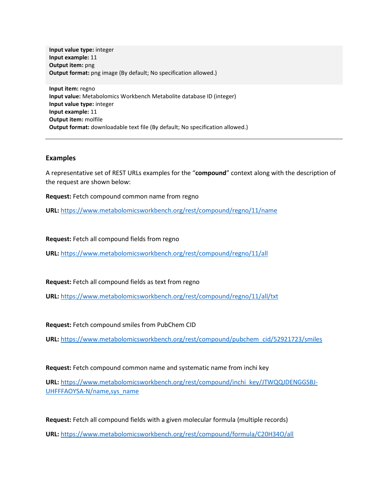**Input value type:** integer **Input example:** 11 **Output item:** png **Output format:** png image (By default; No specification allowed.)

**Input item:** regno **Input value:** Metabolomics Workbench Metabolite database ID (integer) **Input value type:** integer **Input example:** 11 **Output item:** molfile **Output format:** downloadable text file (By default; No specification allowed.)

#### **Examples**

A representative set of REST URLs examples for the "**compound**" context along with the description of the request are shown below:

**Request:** Fetch compound common name from regno

**URL:** <https://www.metabolomicsworkbench.org/rest/compound/regno/11/name>

**Request:** Fetch all compound fields from regno

**URL:** <https://www.metabolomicsworkbench.org/rest/compound/regno/11/all>

**Request:** Fetch all compound fields as text from regno

**URL:** <https://www.metabolomicsworkbench.org/rest/compound/regno/11/all/txt>

**Request:** Fetch compound smiles from PubChem CID

**URL:** [https://www.metabolomicsworkbench.org/rest/compound/pubchem\\_cid/52921723/smiles](https://www.metabolomicsworkbench.org/rest/compound/pubchem_cid/52921723/smiles)

**Request:** Fetch compound common name and systematic name from inchi key

**URL:** [https://www.metabolomicsworkbench.org/rest/compound/inchi\\_key/JTWQQJDENGGSBJ-](https://www.metabolomicsworkbench.org/rest/compound/inchi_key/JTWQQJDENGGSBJ-UHFFFAOYSA-N/name,sys_name)[UHFFFAOYSA-N/name,sys\\_name](https://www.metabolomicsworkbench.org/rest/compound/inchi_key/JTWQQJDENGGSBJ-UHFFFAOYSA-N/name,sys_name)

**Request:** Fetch all compound fields with a given molecular formula (multiple records) **URL:** <https://www.metabolomicsworkbench.org/rest/compound/formula/C20H34O/all>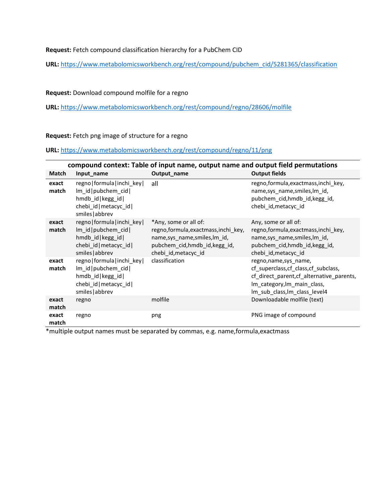**Request:** Fetch compound classification hierarchy for a PubChem CID

**URL:** [https://www.metabolomicsworkbench.org/rest/compound/pubchem\\_cid/5281365/classification](https://www.metabolomicsworkbench.org/rest/compound/pubchem_cid/5281365/classification)

#### **Request:** Download compound molfile for a regno

**URL:** <https://www.metabolomicsworkbench.org/rest/compound/regno/28606/molfile>

#### **Request:** Fetch png image of structure for a regno

**URL:** <https://www.metabolomicsworkbench.org/rest/compound/regno/11/png>

|                | compound context: Table of input name, output name and output field permutations                                       |                                                                                                                                                         |                                                                                                                                                                             |  |
|----------------|------------------------------------------------------------------------------------------------------------------------|---------------------------------------------------------------------------------------------------------------------------------------------------------|-----------------------------------------------------------------------------------------------------------------------------------------------------------------------------|--|
| Match          | Input_name                                                                                                             | Output_name                                                                                                                                             | <b>Output fields</b>                                                                                                                                                        |  |
| exact<br>match | regno formula inchi key <br>Im id   pubchem cid  <br>hmdb_id kegg_id <br>chebi id   metacyc id  <br>smiles abbrev      | all                                                                                                                                                     | regno, formula, exactmass, inchi_key,<br>name,sys_name,smiles,lm_id,<br>pubchem_cid,hmdb_id,kegg_id,<br>chebi id, metacyc id                                                |  |
| exact<br>match | regno   formula   inchi key  <br>Im id   pubchem cid  <br>hmdb id kegg id<br>chebi id   metacyc id  <br>smiles abbrev  | *Any, some or all of:<br>regno, formula, exactmass, inchi_key,<br>name,sys_name,smiles,lm_id,<br>pubchem cid, hmdb id, kegg id,<br>chebi id, metacyc id | Any, some or all of:<br>regno, formula, exactmass, inchi_key,<br>name, sys name, smiles, Im id,<br>pubchem cid, hmdb id, kegg id,<br>chebi id, metacyc id                   |  |
| exact<br>match | regno   formula   inchi_key  <br>Im id   pubchem cid  <br>hmdb_id kegg_id <br>chebi id   metacyc id  <br>smiles abbrev | classification                                                                                                                                          | regno, name, sys name,<br>cf_superclass, cf_class, cf_subclass,<br>cf_direct_parent,cf_alternative_parents,<br>Im_category, Im_main_class,<br>lm_sub_class, Im_class_level4 |  |
| exact<br>match | regno                                                                                                                  | molfile                                                                                                                                                 | Downloadable molfile (text)                                                                                                                                                 |  |
| exact<br>match | regno                                                                                                                  | png                                                                                                                                                     | PNG image of compound                                                                                                                                                       |  |

\*multiple output names must be separated by commas, e.g. name,formula,exactmass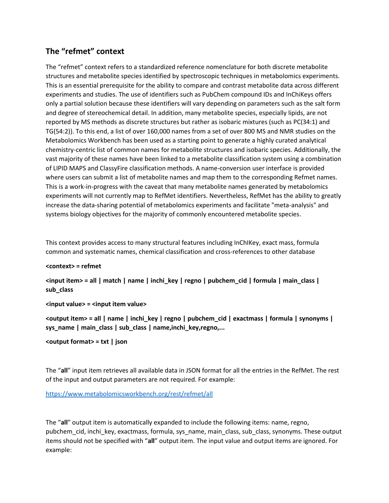## **The "refmet" context**

The "refmet" context refers to a standardized reference nomenclature for both discrete metabolite structures and metabolite species identified by spectroscopic techniques in metabolomics experiments. This is an essential prerequisite for the ability to compare and contrast metabolite data across different experiments and studies. The use of identifiers such as PubChem compound IDs and InChiKeys offers only a partial solution because these identifiers will vary depending on parameters such as the salt form and degree of stereochemical detail. In addition, many metabolite species, especially lipids, are not reported by MS methods as discrete structures but rather as isobaric mixtures (such as PC(34:1) and TG(54:2)). To this end, a list of over 160,000 names from a set of over 800 MS and NMR studies on the Metabolomics Workbench has been used as a starting point to generate a highly curated analytical chemistry-centric list of common names for metabolite structures and isobaric species. Additionally, the vast majority of these names have been linked to a metabolite classification system using a combination of LIPID MAPS and ClassyFire classification methods. A name-conversion user interface is provided where users can submit a list of metabolite names and map them to the corresponding Refmet names. This is a work-in-progress with the caveat that many metabolite names generated by metabolomics experiments will not currently map to RefMet identifiers. Nevertheless, RefMet has the ability to greatly increase the data-sharing potential of metabolomics experiments and facilitate "meta-analysis" and systems biology objectives for the majority of commonly encountered metabolite species.

This context provides access to many structural features including InChIKey, exact mass, formula common and systematic names, chemical classification and cross-references to other database

#### **<context> = refmet**

**<input item> = all | match | name | inchi\_key | regno | pubchem\_cid | formula | main\_class | sub\_class**

#### **<input value> = <input item value>**

**<output item> = all | name | inchi\_key | regno | pubchem\_cid | exactmass | formula | synonyms | sys\_name | main\_class | sub\_class | name,inchi\_key,regno,...**

#### **<output format> = txt | json**

The "**all**" input item retrieves all available data in JSON format for all the entries in the RefMet. The rest of the input and output parameters are not required. For example:

#### <https://www.metabolomicsworkbench.org/rest/refmet/all>

The "**all**" output item is automatically expanded to include the following items: name, regno, pubchem\_cid, inchi\_key, exactmass, formula, sys\_name, main\_class, sub\_class, synonyms. These output items should not be specified with "**all**" output item. The input value and output items are ignored. For example: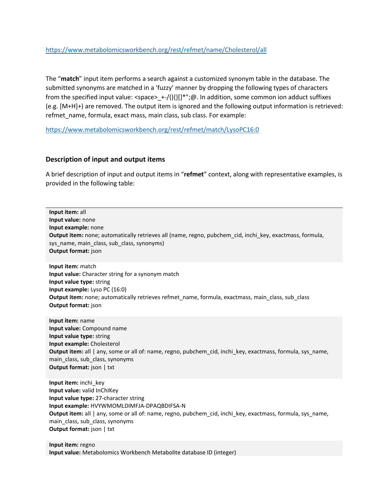#### <https://www.metabolomicsworkbench.org/rest/refmet/name/Cholesterol/all>

The "**match**" input item performs a search against a customized synonym table in the database. The submitted synonyms are matched in a 'fuzzy' manner by dropping the following types of characters from the specified input value: <space>\_+-/(){}[]\*";@. In addition, some common ion adduct suffixes (e.g. [M+H]+) are removed. The output item is ignored and the following output information is retrieved: refmet\_name, formula, exact mass, main class, sub class. For example:

<https://www.metabolomicsworkbench.org/rest/refmet/match/LysoPC16:0>

#### **Description of input and output items**

A brief description of input and output items in "**refmet**" context, along with representative examples, is provided in the following table:

**Input item:** all **Input value:** none **Input example:** none **Output item:** none; automatically retrieves all (name, regno, pubchem\_cid, inchi\_key, exactmass, formula, sys\_name, main\_class, sub\_class, synonyms) **Output format:** json **Input item:** match **Input value:** Character string for a synonym match **Input value type:** string **Input example:** Lyso PC (16:0) **Output item:** none; automatically retrieves refmet\_name, formula, exactmass, main\_class, sub\_class **Output format:** json **Input item:** name **Input value:** Compound name **Input value type:** string **Input example:** Cholesterol **Output item:** all | any, some or all of: name, regno, pubchem cid, inchi key, exactmass, formula, sys name, main\_class, sub\_class, synonyms **Output format:** json | txt **Input item:** inchi\_key **Input value:** valid InChIKey **Input value type:** 27-character string **Input example:** HVYWMOMLDIMFJA-DPAQBDIFSA-N **Output item:** all | any, some or all of: name, regno, pubchem cid, inchi key, exactmass, formula, sys name, main\_class, sub\_class, synonyms **Output format:** json | txt

**Input item:** regno **Input value:** Metabolomics Workbench Metabolite database ID (integer)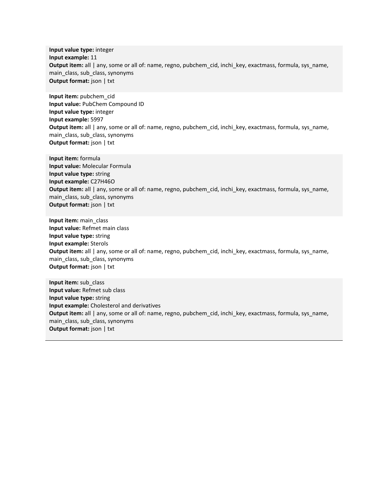**Input value type:** integer **Input example:** 11 **Output item:** all | any, some or all of: name, regno, pubchem cid, inchi key, exactmass, formula, sys name, main\_class, sub\_class, synonyms **Output format:** json | txt

**Input item:** pubchem\_cid **Input value:** PubChem Compound ID **Input value type:** integer **Input example:** 5997 **Output item:** all | any, some or all of: name, regno, pubchem\_cid, inchi\_key, exactmass, formula, sys\_name, main\_class, sub\_class, synonyms **Output format:** json | txt

**Input item:** formula **Input value:** Molecular Formula **Input value type:** string **Input example:** C27H46O **Output item:** all | any, some or all of: name, regno, pubchem\_cid, inchi\_key, exactmass, formula, sys\_name, main\_class, sub\_class, synonyms **Output format:** json | txt

**Input item:** main\_class **Input value:** Refmet main class **Input value type:** string **Input example:** Sterols **Output item:** all | any, some or all of: name, regno, pubchem\_cid, inchi\_key, exactmass, formula, sys\_name, main\_class, sub\_class, synonyms **Output format:** json | txt

**Input item:** sub\_class **Input value:** Refmet sub class **Input value type:** string **Input example:** Cholesterol and derivatives **Output item:** all | any, some or all of: name, regno, pubchem\_cid, inchi\_key, exactmass, formula, sys\_name, main\_class, sub\_class, synonyms **Output format:** json | txt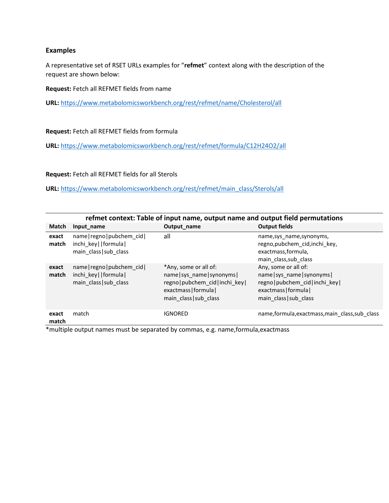#### **Examples**

A representative set of RSET URLs examples for "**refmet**" context along with the description of the request are shown below:

**Request:** Fetch all REFMET fields from name

**URL:** <https://www.metabolomicsworkbench.org/rest/refmet/name/Cholesterol/all>

**Request:** Fetch all REFMET fields from formula

**URL:** <https://www.metabolomicsworkbench.org/rest/refmet/formula/C12H24O2/all>

**Request:** Fetch all REFMET fields for all Sterols

**URL:** [https://www.metabolomicsworkbench.org/rest/refmet/main\\_class/Sterols/all](https://www.metabolomicsworkbench.org/rest/refmet/main_class/Sterols/all)

| refmet context: Table of input name, output name and output field permutations |                                                                             |                                                                                                                                               |                                                                                                                                              |
|--------------------------------------------------------------------------------|-----------------------------------------------------------------------------|-----------------------------------------------------------------------------------------------------------------------------------------------|----------------------------------------------------------------------------------------------------------------------------------------------|
| Match                                                                          | Input name                                                                  | Output name                                                                                                                                   | <b>Output fields</b>                                                                                                                         |
| exact<br>match                                                                 | name   regno   pubchem cid  <br>inchi_key  formula <br>main class sub class | all                                                                                                                                           | name, sys name, synonyms,<br>regno, pubchem_cid, inchi_key,<br>exactmass, formula,<br>main class, sub class                                  |
| exact<br>match                                                                 | $name regno pubchem$ cid<br>inchi key  formula <br>main class sub class     | *Any, some or all of:<br>name   sys name   synonyms  <br>regno   pubchem cid   inchi key  <br>exactmass   formula  <br>main class   sub class | Any, some or all of:<br>name   sys name   synonyms  <br>regno   pubchem cid   inchi key  <br>exactmass   formula  <br>main class   sub class |
| exact<br>match                                                                 | match                                                                       | <b>IGNORED</b>                                                                                                                                | name, formula, exactmass, main_class, sub_class                                                                                              |

\*multiple output names must be separated by commas, e.g. name,formula,exactmass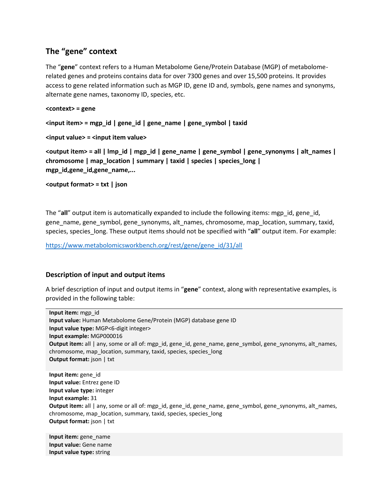## **The "gene" context**

The "**gene**" context refers to a Human Metabolome Gene/Protein Database (MGP) of metabolomerelated genes and proteins contains data for over 7300 genes and over 15,500 proteins. It provides access to gene related information such as MGP ID, gene ID and, symbols, gene names and synonyms, alternate gene names, taxonomy ID, species, etc.

#### **<context> = gene**

**<input item> = mgp\_id | gene\_id | gene\_name | gene\_symbol | taxid**

**<input value> = <input item value>**

**<output item> = all | lmp\_id | mgp\_id | gene\_name | gene\_symbol | gene\_synonyms | alt\_names | chromosome | map\_location | summary | taxid | species | species\_long | mgp\_id,gene\_id,gene\_name,...**

**<output format> = txt | json**

The "**all**" output item is automatically expanded to include the following items: mgp\_id, gene\_id, gene\_name, gene\_symbol, gene\_synonyms, alt\_names, chromosome, map\_location, summary, taxid, species, species long. These output items should not be specified with "**all**" output item. For example:

[https://www.metabolomicsworkbench.org/rest/gene/gene\\_id/31/all](https://www.metabolomicsworkbench.org/rest/gene/gene_id/31/all)

## **Description of input and output items**

A brief description of input and output items in "**gene**" context, along with representative examples, is provided in the following table:

**Input item:** mgp\_id **Input value:** Human Metabolome Gene/Protein (MGP) database gene ID **Input value type:** MGP<6-digit integer> **Input example:** MGP000016 **Output item:** all | any, some or all of: mgp\_id, gene\_id, gene\_name, gene\_symbol, gene\_synonyms, alt\_names, chromosome, map\_location, summary, taxid, species, species\_long **Output format:** json | txt **Input item:** gene\_id **Input value:** Entrez gene ID **Input value type:** integer **Input example:** 31 **Output item:** all | any, some or all of: mgp\_id, gene\_id, gene\_name, gene\_symbol, gene\_synonyms, alt\_names, chromosome, map\_location, summary, taxid, species, species\_long **Output format:** json | txt

**Input item:** gene\_name **Input value:** Gene name **Input value type:** string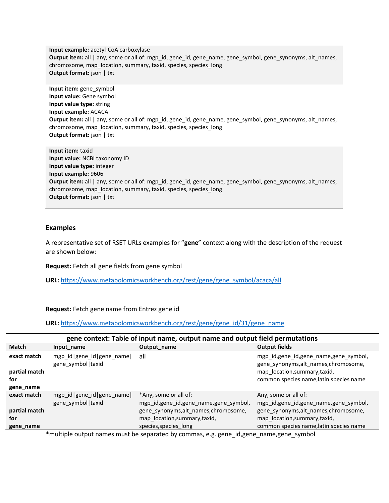**Input example:** acetyl-CoA carboxylase **Output item:** all | any, some or all of: mgp\_id, gene\_id, gene\_name, gene\_symbol, gene\_synonyms, alt\_names, chromosome, map\_location, summary, taxid, species, species\_long **Output format:** json | txt

**Input item:** gene\_symbol **Input value:** Gene symbol **Input value type:** string **Input example:** ACACA **Output item:** all | any, some or all of: mgp\_id, gene\_id, gene\_name, gene\_symbol, gene\_synonyms, alt\_names, chromosome, map\_location, summary, taxid, species, species\_long **Output format:** json | txt

**Input item:** taxid **Input value:** NCBI taxonomy ID **Input value type:** integer **Input example:** 9606 **Output item:** all | any, some or all of: mgp\_id, gene\_id, gene\_name, gene\_symbol, gene\_synonyms, alt\_names, chromosome, map\_location, summary, taxid, species, species\_long **Output format:** json | txt

#### **Examples**

A representative set of RSET URLs examples for "**gene**" context along with the description of the request are shown below:

**Request:** Fetch all gene fields from gene symbol

**URL:** [https://www.metabolomicsworkbench.org/rest/gene/gene\\_symbol/acaca/all](https://www.metabolomicsworkbench.org/rest/gene/gene_symbol/acaca/all)

**Request:** Fetch gene name from Entrez gene id

**URL:** [https://www.metabolomicsworkbench.org/rest/gene/gene\\_id/31/gene\\_name](https://www.metabolomicsworkbench.org/rest/gene/gene_id/31/gene_name)

| gene context: Table of input name, output name and output field permutations |                                                |                                                                                                                                                               |                                                                                                                                                                                  |
|------------------------------------------------------------------------------|------------------------------------------------|---------------------------------------------------------------------------------------------------------------------------------------------------------------|----------------------------------------------------------------------------------------------------------------------------------------------------------------------------------|
| <b>Match</b>                                                                 | Input name                                     | Output name                                                                                                                                                   | <b>Output fields</b>                                                                                                                                                             |
| exact match<br>partial match<br>for<br>gene_name                             | mgp_id gene_id gene_name <br>gene_symbol taxid | all                                                                                                                                                           | mgp_id,gene_id,gene_name,gene_symbol,<br>gene_synonyms,alt_names,chromosome,<br>map location, summary, taxid,<br>common species name, latin species name                         |
| exact match<br>partial match<br>for<br>gene_name                             | mgp_id gene_id gene_name <br>gene_symbol taxid | *Any, some or all of:<br>mgp_id,gene_id,gene_name,gene_symbol,<br>gene_synonyms,alt_names,chromosome,<br>map_location,summary,taxid,<br>species, species long | Any, some or all of:<br>mgp_id,gene_id,gene_name,gene_symbol,<br>gene synonyms, alt names, chromosome,<br>map_location,summary,taxid,<br>common species name, latin species name |

\*multiple output names must be separated by commas, e.g. gene\_id,gene\_name,gene\_symbol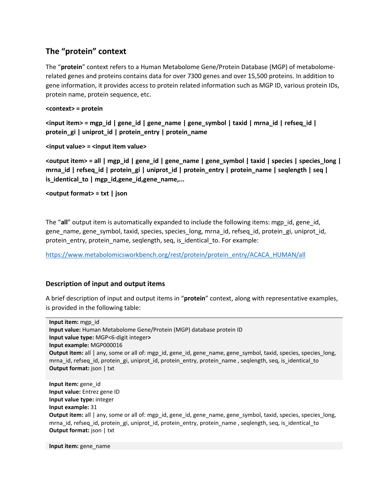## **The "protein" context**

The "**protein**" context refers to a Human Metabolome Gene/Protein Database (MGP) of metabolomerelated genes and proteins contains data for over 7300 genes and over 15,500 proteins. In addition to gene information, it provides access to protein related information such as MGP ID, various protein IDs, protein name, protein sequence, etc.

#### **<context> = protein**

**<input item> = mgp\_id | gene\_id | gene\_name | gene\_symbol | taxid | mrna\_id | refseq\_id | protein\_gi | uniprot\_id | protein\_entry | protein\_name**

#### **<input value> = <input item value>**

**<output item> = all | mgp\_id | gene\_id | gene\_name | gene\_symbol | taxid | species | species\_long | mrna\_id | refseq\_id | protein\_gi | uniprot\_id | protein\_entry | protein\_name | seqlength | seq | is\_identical\_to | mgp\_id,gene\_id,gene\_name,...**

**<output format> = txt | json**

The "all" output item is automatically expanded to include the following items: mgp\_id, gene\_id, gene\_name, gene\_symbol, taxid, species, species\_long, mrna\_id, refseq\_id, protein\_gi, uniprot\_id, protein\_entry, protein\_name, seqlength, seq, is\_identical\_to. For example:

[https://www.metabolomicsworkbench.org/rest/protein/protein\\_entry/ACACA\\_HUMAN/all](https://www.metabolomicsworkbench.org/rest/protein/protein_entry/ACACA_HUMAN/all)

## **Description of input and output items**

A brief description of input and output items in "**protein**" context, along with representative examples, is provided in the following table:

**Input item:** mgp\_id **Input value:** Human Metabolome Gene/Protein (MGP) database protein ID **Input value type:** MGP<6-digit integer**> Input example:** MGP000016 **Output item:** all | any, some or all of: mgp\_id, gene\_id, gene\_name, gene\_symbol, taxid, species, species\_long, mrna\_id, refseq\_id, protein\_gi, uniprot\_id, protein\_entry, protein\_name , seqlength, seq, is\_identical\_to **Output format:** json | txt **Input item:** gene\_id **Input value:** Entrez gene ID **Input value type:** integer

**Input example:** 31

**Output item:** all | any, some or all of: mgp\_id, gene\_id, gene\_name, gene\_symbol, taxid, species, species\_long, mrna\_id, refseq\_id, protein\_gi, uniprot\_id, protein\_entry, protein\_name , seqlength, seq, is\_identical\_to **Output format:** json | txt

**Input item:** gene\_name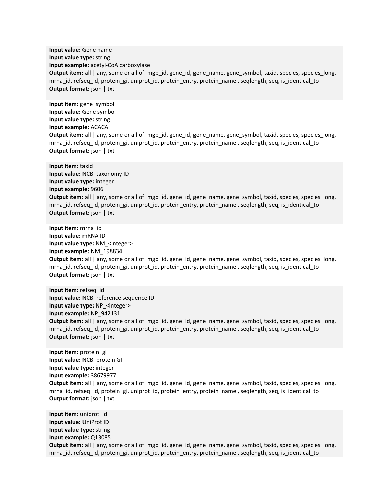**Input value:** Gene name **Input value type:** string **Input example:** acetyl-CoA carboxylase **Output item:** all | any, some or all of: mgp\_id, gene\_id, gene\_name, gene\_symbol, taxid, species, species\_long, mrna\_id, refseq\_id, protein\_gi, uniprot\_id, protein\_entry, protein\_name , seqlength, seq, is\_identical\_to **Output format:** json | txt

**Input item:** gene\_symbol **Input value:** Gene symbol **Input value type:** string **Input example:** ACACA **Output item:** all | any, some or all of: mgp\_id, gene\_id, gene\_name, gene\_symbol, taxid, species, species\_long, mrna\_id, refseq\_id, protein\_gi, uniprot\_id, protein\_entry, protein\_name , seqlength, seq, is\_identical\_to **Output format:** json | txt

**Input item:** taxid **Input value:** NCBI taxonomy ID **Input value type:** integer **Input example:** 9606 **Output item:** all | any, some or all of: mgp\_id, gene\_id, gene\_name, gene\_symbol, taxid, species, species\_long, mrna id, refseq id, protein gi, uniprot id, protein entry, protein name , seqlength, seq, is identical to **Output format:** json | txt

**Input item:** mrna\_id **Input value:** mRNA ID **Input value type:** NM\_<integer> **Input example:** NM\_198834 **Output item:** all | any, some or all of: mgp\_id, gene\_id, gene\_name, gene\_symbol, taxid, species, species\_long, mrna\_id, refseq\_id, protein\_gi, uniprot\_id, protein\_entry, protein\_name , seqlength, seq, is\_identical\_to **Output format:** json | txt

**Input item:** refseq\_id **Input value:** NCBI reference sequence ID **Input value type:** NP\_<integer**> Input example:** NP\_942131 **Output item:** all | any, some or all of: mgp\_id, gene\_id, gene\_name, gene\_symbol, taxid, species, species\_long, mrna\_id, refseq\_id, protein\_gi, uniprot\_id, protein\_entry, protein\_name , seqlength, seq, is\_identical\_to **Output format:** json | txt

**Input item:** protein\_gi **Input value:** NCBI protein GI **Input value type:** integer **Input example:** 38679977 **Output item:** all | any, some or all of: mgp\_id, gene\_id, gene\_name, gene\_symbol, taxid, species, species\_long, mrna\_id, refseq\_id, protein\_gi, uniprot\_id, protein\_entry, protein\_name , seqlength, seq, is\_identical\_to **Output format:** json | txt

**Input item:** uniprot\_id **Input value:** UniProt ID **Input value type:** string **Input example:** Q13085 **Output item:** all | any, some or all of: mgp\_id, gene\_id, gene\_name, gene\_symbol, taxid, species, species\_long, mrna\_id, refseq\_id, protein\_gi, uniprot\_id, protein\_entry, protein\_name , seqlength, seq, is\_identical\_to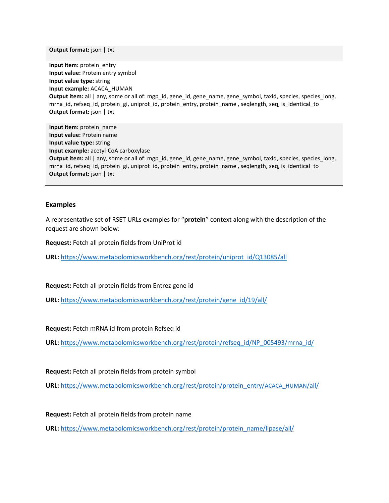**Output format:** json | txt

**Input item:** protein\_entry **Input value:** Protein entry symbol **Input value type:** string **Input example:** ACACA\_HUMAN **Output item:** all | any, some or all of: mgp\_id, gene\_id, gene\_name, gene\_symbol, taxid, species, species\_long, mrna\_id, refseq\_id, protein\_gi, uniprot\_id, protein\_entry, protein\_name , seqlength, seq, is\_identical\_to **Output format:** json | txt

**Input item:** protein\_name **Input value:** Protein name **Input value type:** string **Input example:** acetyl-CoA carboxylase **Output item:** all | any, some or all of: mgp\_id, gene\_id, gene\_name, gene\_symbol, taxid, species, species\_long, mrna\_id, refseq\_id, protein\_gi, uniprot\_id, protein\_entry, protein\_name , seqlength, seq, is\_identical\_to **Output format:** json | txt

#### **Examples**

A representative set of RSET URLs examples for "**protein**" context along with the description of the request are shown below:

**Request:** Fetch all protein fields from UniProt id

**URL:** [https://www.metabolomicsworkbench.org/rest/protein/uniprot\\_id/Q13085/all](https://www.metabolomicsworkbench.org/rest/protein/uniprot_id/Q13085/all)

**Request:** Fetch all protein fields from Entrez gene id

**URL:** [https://www.metabolomicsworkbench.org/rest/protein/gene\\_id/19/all/](https://www.metabolomicsworkbench.org/rest/protein/gene_id/19/all/)

**Request:** Fetch mRNA id from protein Refseq id

**URL:** [https://www.metabolomicsworkbench.org/rest/protein/refseq\\_id/NP\\_005493/mrna\\_id/](https://www.metabolomicsworkbench.org/rest/protein/refseq_id/NP_005493/mrna_id/)

**Request:** Fetch all protein fields from protein symbol

**URL:** [https://www.metabolomicsworkbench.org/rest/protein/protein\\_entry/](https://www.metabolomicsworkbench.org/rest/protein/protein_entry/ACACA_HUMAN/all/)ACACA\_HUMAN/all/

**Request:** Fetch all protein fields from protein name

**URL:** [https://www.metabolomicsworkbench.org/rest/protein/protein\\_name/lipase/all/](https://www.metabolomicsworkbench.org/rest/protein/protein_name/lipase/all/)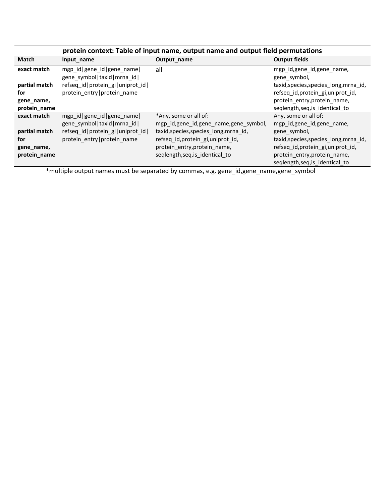|                                                                   | protein context: Table of input name, output name and output field permutations                                                     |                                                                                                                                                                                                                   |                                                                                                                                                                                                                      |  |
|-------------------------------------------------------------------|-------------------------------------------------------------------------------------------------------------------------------------|-------------------------------------------------------------------------------------------------------------------------------------------------------------------------------------------------------------------|----------------------------------------------------------------------------------------------------------------------------------------------------------------------------------------------------------------------|--|
| <b>Match</b>                                                      | Input name                                                                                                                          | Output_name                                                                                                                                                                                                       | <b>Output fields</b>                                                                                                                                                                                                 |  |
| exact match                                                       | mgp_id gene_id gene_name <br>gene symbol   taxid   mrna id                                                                          | all                                                                                                                                                                                                               | mgp_id,gene_id,gene_name,<br>gene symbol,                                                                                                                                                                            |  |
| partial match<br>for<br>gene_name,<br>protein_name                | refseq_id   protein_gi   uniprot_id  <br>protein entry protein name                                                                 |                                                                                                                                                                                                                   | taxid, species, species_long, mrna_id,<br>refseq_id,protein_gi,uniprot_id,<br>protein entry, protein name,<br>seqlength, seq, is_identical_to                                                                        |  |
| exact match<br>partial match<br>for<br>gene_name,<br>protein_name | mgp_id gene_id gene_name <br>gene symbol   taxid   mrna id  <br>refseq_id   protein_gi   uniprot_id  <br>protein entry protein name | *Any, some or all of:<br>mgp_id,gene_id,gene_name,gene_symbol,<br>taxid, species, species_long, mrna_id,<br>refseq id, protein_gi, uniprot_id,<br>protein entry, protein name,<br>seqlength, seq, is_identical_to | Any, some or all of:<br>mgp id, gene id, gene name,<br>gene symbol,<br>taxid, species, species long, mrna id,<br>refseq_id,protein_gi,uniprot_id,<br>protein entry, protein name,<br>seqlength, seq, is_identical_to |  |

\*multiple output names must be separated by commas, e.g. gene\_id,gene\_name,gene\_symbol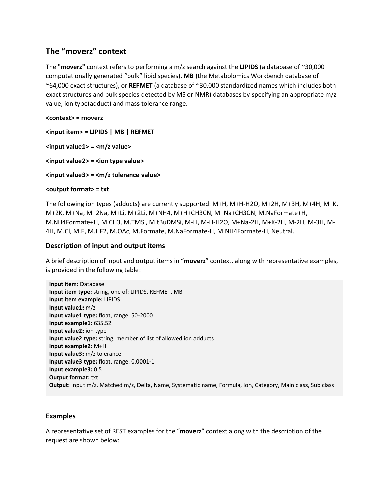## **The "moverz" context**

The "**moverz**" context refers to performing a m/z search against the **LIPIDS** (a database of ~30,000 computationally generated "bulk" lipid species), **MB** (the Metabolomics Workbench database of ~64,000 exact structures), or **REFMET** (a database of ~30,000 standardized names which includes both exact structures and bulk species detected by MS or NMR) databases by specifying an appropriate m/z value, ion type(adduct) and mass tolerance range.

#### **<context> = moverz**

**<input item> = LIPIDS | MB | REFMET**

**<input value1> = <m/z value>**

**<input value2> = <ion type value>**

**<input value3> = <m/z tolerance value>**

#### **<output format> = txt**

The following ion types (adducts) are currently supported: M+H, M+H-H2O, M+2H, M+3H, M+4H, M+K, M+2K, M+Na, M+2Na, M+Li, M+2Li, M+NH4, M+H+CH3CN, M+Na+CH3CN, M.NaFormate+H, M.NH4Formate+H, M.CH3, M.TMSi, M.tBuDMSi, M-H, M-H-H2O, M+Na-2H, M+K-2H, M-2H, M-3H, M-4H, M.Cl, M.F, M.HF2, M.OAc, M.Formate, M.NaFormate-H, M.NH4Formate-H, Neutral.

## **Description of input and output items**

A brief description of input and output items in "**moverz**" context, along with representative examples, is provided in the following table:

## **Examples**

A representative set of REST examples for the "**moverz**" context along with the description of the request are shown below: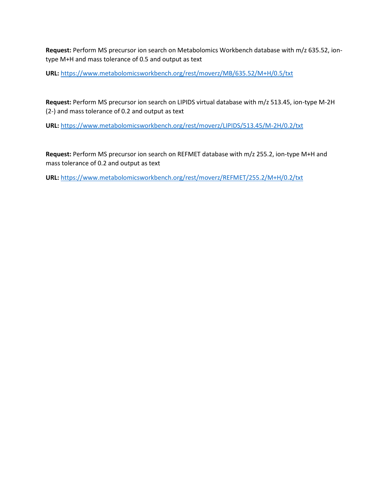**Request:** Perform MS precursor ion search on Metabolomics Workbench database with m/z 635.52, iontype M+H and mass tolerance of 0.5 and output as text

**URL:** <https://www.metabolomicsworkbench.org/rest/moverz/MB/635.52/M+H/0.5/txt>

**Request:** Perform MS precursor ion search on LIPIDS virtual database with m/z 513.45, ion-type M-2H (2-) and mass tolerance of 0.2 and output as text

**URL:** <https://www.metabolomicsworkbench.org/rest/moverz/LIPIDS/513.45/M-2H/0.2/txt>

**Request:** Perform MS precursor ion search on REFMET database with m/z 255.2, ion-type M+H and mass tolerance of 0.2 and output as text

**URL:** <https://www.metabolomicsworkbench.org/rest/moverz/REFMET/255.2/M+H/0.2/txt>